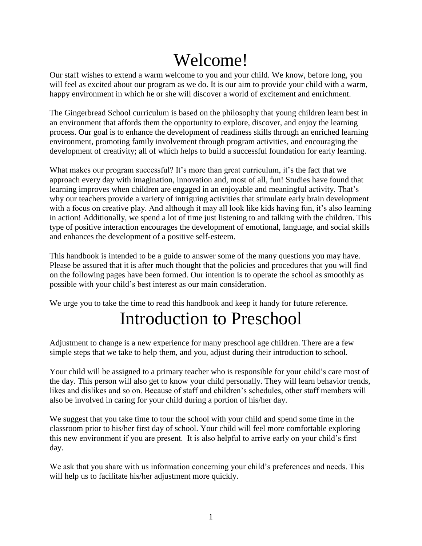# Welcome!

Our staff wishes to extend a warm welcome to you and your child. We know, before long, you will feel as excited about our program as we do. It is our aim to provide your child with a warm, happy environment in which he or she will discover a world of excitement and enrichment.

The Gingerbread School curriculum is based on the philosophy that young children learn best in an environment that affords them the opportunity to explore, discover, and enjoy the learning process. Our goal is to enhance the development of readiness skills through an enriched learning environment, promoting family involvement through program activities, and encouraging the development of creativity; all of which helps to build a successful foundation for early learning.

What makes our program successful? It's more than great curriculum, it's the fact that we approach every day with imagination, innovation and, most of all, fun! Studies have found that learning improves when children are engaged in an enjoyable and meaningful activity. That's why our teachers provide a variety of intriguing activities that stimulate early brain development with a focus on creative play. And although it may all look like kids having fun, it's also learning in action! Additionally, we spend a lot of time just listening to and talking with the children. This type of positive interaction encourages the development of emotional, language, and social skills and enhances the development of a positive self-esteem.

This handbook is intended to be a guide to answer some of the many questions you may have. Please be assured that it is after much thought that the policies and procedures that you will find on the following pages have been formed. Our intention is to operate the school as smoothly as possible with your child's best interest as our main consideration.

We urge you to take the time to read this handbook and keep it handy for future reference.

# Introduction to Preschool

Adjustment to change is a new experience for many preschool age children. There are a few simple steps that we take to help them, and you, adjust during their introduction to school.

Your child will be assigned to a primary teacher who is responsible for your child's care most of the day. This person will also get to know your child personally. They will learn behavior trends, likes and dislikes and so on. Because of staff and children's schedules, other staff members will also be involved in caring for your child during a portion of his/her day.

We suggest that you take time to tour the school with your child and spend some time in the classroom prior to his/her first day of school. Your child will feel more comfortable exploring this new environment if you are present. It is also helpful to arrive early on your child's first day.

We ask that you share with us information concerning your child's preferences and needs. This will help us to facilitate his/her adjustment more quickly.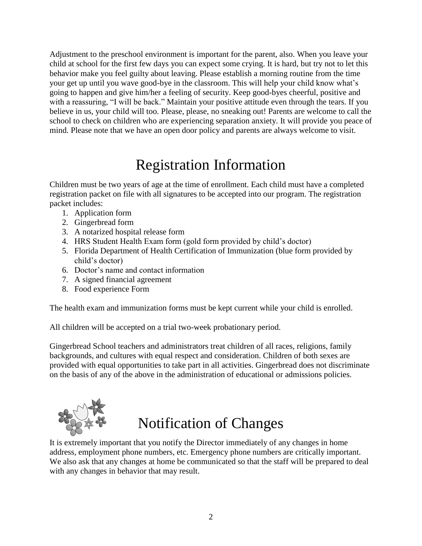Adjustment to the preschool environment is important for the parent, also. When you leave your child at school for the first few days you can expect some crying. It is hard, but try not to let this behavior make you feel guilty about leaving. Please establish a morning routine from the time your get up until you wave good-bye in the classroom. This will help your child know what's going to happen and give him/her a feeling of security. Keep good-byes cheerful, positive and with a reassuring, "I will be back." Maintain your positive attitude even through the tears. If you believe in us, your child will too. Please, please, no sneaking out! Parents are welcome to call the school to check on children who are experiencing separation anxiety. It will provide you peace of mind. Please note that we have an open door policy and parents are always welcome to visit.

#### Registration Information

Children must be two years of age at the time of enrollment. Each child must have a completed registration packet on file with all signatures to be accepted into our program. The registration packet includes:

- 1. Application form
- 2. Gingerbread form
- 3. A notarized hospital release form
- 4. HRS Student Health Exam form (gold form provided by child's doctor)
- 5. Florida Department of Health Certification of Immunization (blue form provided by child's doctor)
- 6. Doctor's name and contact information
- 7. A signed financial agreement
- 8. Food experience Form

The health exam and immunization forms must be kept current while your child is enrolled.

All children will be accepted on a trial two-week probationary period.

Gingerbread School teachers and administrators treat children of all races, religions, family backgrounds, and cultures with equal respect and consideration. Children of both sexes are provided with equal opportunities to take part in all activities. Gingerbread does not discriminate on the basis of any of the above in the administration of educational or admissions policies.



### Notification of Changes

It is extremely important that you notify the Director immediately of any changes in home address, employment phone numbers, etc. Emergency phone numbers are critically important. We also ask that any changes at home be communicated so that the staff will be prepared to deal with any changes in behavior that may result.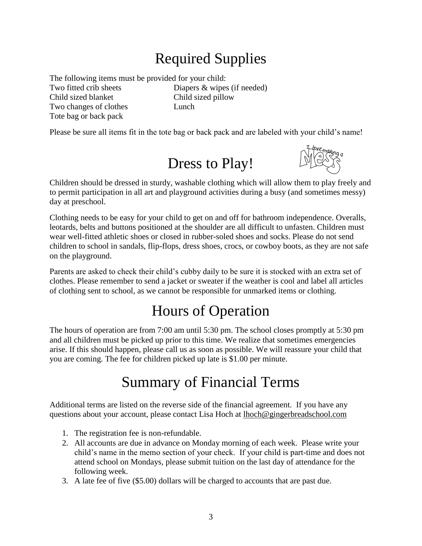## Required Supplies

The following items must be provided for your child:

Child sized blanket Child sized pillow Two changes of clothes Lunch Tote bag or back pack

Two fitted crib sheets Diapers & wipes (if needed)

Please be sure all items fit in the tote bag or back pack and are labeled with your child's name!

# Dress to Play!



Children should be dressed in sturdy, washable clothing which will allow them to play freely and to permit participation in all art and playground activities during a busy (and sometimes messy) day at preschool.

Clothing needs to be easy for your child to get on and off for bathroom independence. Overalls, leotards, belts and buttons positioned at the shoulder are all difficult to unfasten. Children must wear well-fitted athletic shoes or closed in rubber-soled shoes and socks. Please do not send children to school in sandals, flip-flops, dress shoes, crocs, or cowboy boots, as they are not safe on the playground.

Parents are asked to check their child's cubby daily to be sure it is stocked with an extra set of clothes. Please remember to send a jacket or sweater if the weather is cool and label all articles of clothing sent to school, as we cannot be responsible for unmarked items or clothing.

## Hours of Operation

The hours of operation are from 7:00 am until 5:30 pm. The school closes promptly at 5:30 pm and all children must be picked up prior to this time. We realize that sometimes emergencies arise. If this should happen, please call us as soon as possible. We will reassure your child that you are coming. The fee for children picked up late is \$1.00 per minute.

### Summary of Financial Terms

Additional terms are listed on the reverse side of the financial agreement. If you have any questions about your account, please contact Lisa Hoch at lhoch@gingerbreadschool.com

- 1. The registration fee is non-refundable.
- 2. All accounts are due in advance on Monday morning of each week. Please write your child's name in the memo section of your check. If your child is part-time and does not attend school on Mondays, please submit tuition on the last day of attendance for the following week.
- 3. A late fee of five (\$5.00) dollars will be charged to accounts that are past due.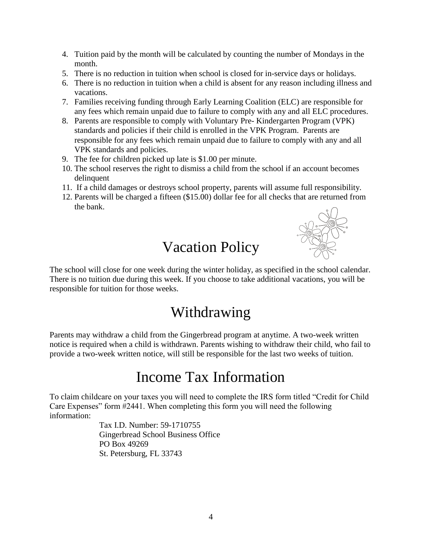- 4. Tuition paid by the month will be calculated by counting the number of Mondays in the month.
- 5. There is no reduction in tuition when school is closed for in-service days or holidays.
- 6. There is no reduction in tuition when a child is absent for any reason including illness and vacations.
- 7. Families receiving funding through Early Learning Coalition (ELC) are responsible for any fees which remain unpaid due to failure to comply with any and all ELC procedures.
- 8. Parents are responsible to comply with Voluntary Pre- Kindergarten Program (VPK) standards and policies if their child is enrolled in the VPK Program. Parents are responsible for any fees which remain unpaid due to failure to comply with any and all VPK standards and policies.
- 9. The fee for children picked up late is \$1.00 per minute.
- 10. The school reserves the right to dismiss a child from the school if an account becomes delinquent
- 11. If a child damages or destroys school property, parents will assume full responsibility.
- 12. Parents will be charged a fifteen (\$15.00) dollar fee for all checks that are returned from the bank.

### Vacation Policy



The school will close for one week during the winter holiday, as specified in the school calendar. There is no tuition due during this week. If you choose to take additional vacations, you will be responsible for tuition for those weeks.

#### Withdrawing

Parents may withdraw a child from the Gingerbread program at anytime. A two-week written notice is required when a child is withdrawn. Parents wishing to withdraw their child, who fail to provide a two-week written notice, will still be responsible for the last two weeks of tuition.

#### Income Tax Information

To claim childcare on your taxes you will need to complete the IRS form titled "Credit for Child Care Expenses" form #2441. When completing this form you will need the following information:

> Tax I.D. Number: 59-1710755 Gingerbread School Business Office PO Box 49269 St. Petersburg, FL 33743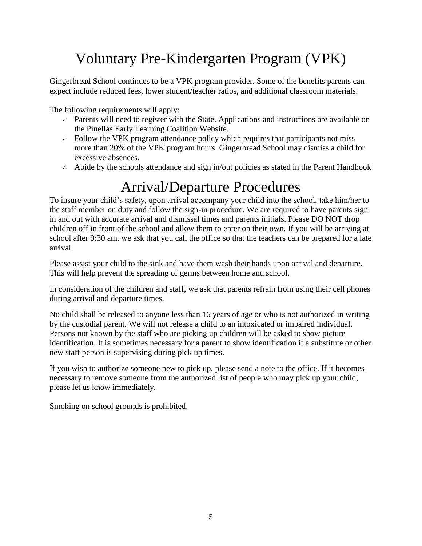## Voluntary Pre-Kindergarten Program (VPK)

Gingerbread School continues to be a VPK program provider. Some of the benefits parents can expect include reduced fees, lower student/teacher ratios, and additional classroom materials.

The following requirements will apply:

- $\sim$  Parents will need to register with the State. Applications and instructions are available on the Pinellas Early Learning Coalition Website.
- $\sim$  Follow the VPK program attendance policy which requires that participants not miss more than 20% of the VPK program hours. Gingerbread School may dismiss a child for excessive absences.
- $\sim$  Abide by the schools attendance and sign in/out policies as stated in the Parent Handbook

#### Arrival/Departure Procedures

To insure your child's safety, upon arrival accompany your child into the school, take him/her to the staff member on duty and follow the sign-in procedure. We are required to have parents sign in and out with accurate arrival and dismissal times and parents initials. Please DO NOT drop children off in front of the school and allow them to enter on their own. If you will be arriving at school after 9:30 am, we ask that you call the office so that the teachers can be prepared for a late arrival.

Please assist your child to the sink and have them wash their hands upon arrival and departure. This will help prevent the spreading of germs between home and school.

In consideration of the children and staff, we ask that parents refrain from using their cell phones during arrival and departure times.

No child shall be released to anyone less than 16 years of age or who is not authorized in writing by the custodial parent. We will not release a child to an intoxicated or impaired individual. Persons not known by the staff who are picking up children will be asked to show picture identification. It is sometimes necessary for a parent to show identification if a substitute or other new staff person is supervising during pick up times.

If you wish to authorize someone new to pick up, please send a note to the office. If it becomes necessary to remove someone from the authorized list of people who may pick up your child, please let us know immediately.

Smoking on school grounds is prohibited.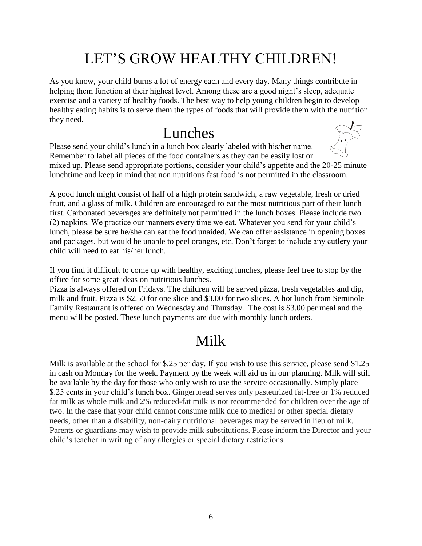## LET'S GROW HEALTHY CHILDREN!

As you know, your child burns a lot of energy each and every day. Many things contribute in helping them function at their highest level. Among these are a good night's sleep, adequate exercise and a variety of healthy foods. The best way to help young children begin to develop healthy eating habits is to serve them the types of foods that will provide them with the nutrition they need.

#### Lunches

Please send your child's lunch in a lunch box clearly labeled with his/her name. Remember to label all pieces of the food containers as they can be easily lost or mixed up. Please send appropriate portions, consider your child's appetite and the 20-25 minute lunchtime and keep in mind that non nutritious fast food is not permitted in the classroom.

A good lunch might consist of half of a high protein sandwich, a raw vegetable, fresh or dried fruit, and a glass of milk. Children are encouraged to eat the most nutritious part of their lunch first. Carbonated beverages are definitely not permitted in the lunch boxes. Please include two (2) napkins. We practice our manners every time we eat. Whatever you send for your child's lunch, please be sure he/she can eat the food unaided. We can offer assistance in opening boxes and packages, but would be unable to peel oranges, etc. Don't forget to include any cutlery your child will need to eat his/her lunch.

If you find it difficult to come up with healthy, exciting lunches, please feel free to stop by the office for some great ideas on nutritious lunches.

Pizza is always offered on Fridays. The children will be served pizza, fresh vegetables and dip, milk and fruit. Pizza is \$2.50 for one slice and \$3.00 for two slices. A hot lunch from Seminole Family Restaurant is offered on Wednesday and Thursday. The cost is \$3.00 per meal and the menu will be posted. These lunch payments are due with monthly lunch orders.

#### Milk

Milk is available at the school for \$.25 per day. If you wish to use this service, please send \$1.25 in cash on Monday for the week. Payment by the week will aid us in our planning. Milk will still be available by the day for those who only wish to use the service occasionally. Simply place \$.25 cents in your child's lunch box. Gingerbread serves only pasteurized fat-free or 1% reduced fat milk as whole milk and 2% reduced-fat milk is not recommended for children over the age of two. In the case that your child cannot consume milk due to medical or other special dietary needs, other than a disability, non-dairy nutritional beverages may be served in lieu of milk. Parents or guardians may wish to provide milk substitutions. Please inform the Director and your child's teacher in writing of any allergies or special dietary restrictions.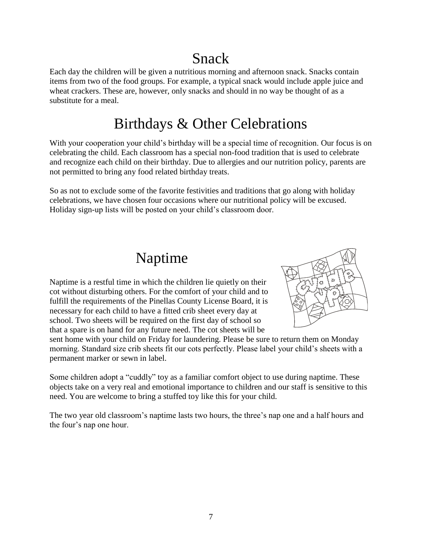## Snack

Each day the children will be given a nutritious morning and afternoon snack. Snacks contain items from two of the food groups. For example, a typical snack would include apple juice and wheat crackers. These are, however, only snacks and should in no way be thought of as a substitute for a meal.

#### Birthdays & Other Celebrations

With your cooperation your child's birthday will be a special time of recognition. Our focus is on celebrating the child. Each classroom has a special non-food tradition that is used to celebrate and recognize each child on their birthday. Due to allergies and our nutrition policy, parents are not permitted to bring any food related birthday treats.

So as not to exclude some of the favorite festivities and traditions that go along with holiday celebrations, we have chosen four occasions where our nutritional policy will be excused. Holiday sign-up lists will be posted on your child's classroom door.

#### Naptime

Naptime is a restful time in which the children lie quietly on their cot without disturbing others. For the comfort of your child and to fulfill the requirements of the Pinellas County License Board, it is necessary for each child to have a fitted crib sheet every day at school. Two sheets will be required on the first day of school so that a spare is on hand for any future need. The cot sheets will be



sent home with your child on Friday for laundering. Please be sure to return them on Monday morning. Standard size crib sheets fit our cots perfectly. Please label your child's sheets with a permanent marker or sewn in label.

Some children adopt a "cuddly" toy as a familiar comfort object to use during naptime. These objects take on a very real and emotional importance to children and our staff is sensitive to this need. You are welcome to bring a stuffed toy like this for your child.

The two year old classroom's naptime lasts two hours, the three's nap one and a half hours and the four's nap one hour.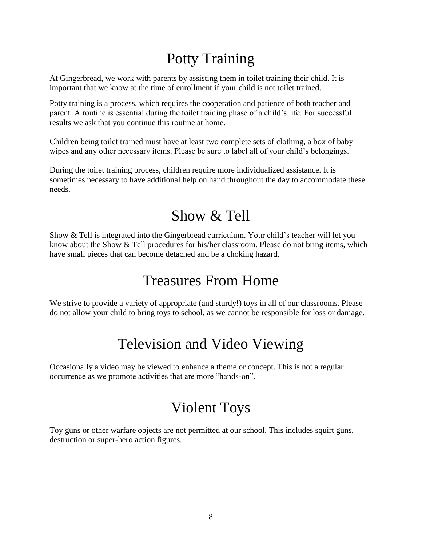## Potty Training

At Gingerbread, we work with parents by assisting them in toilet training their child. It is important that we know at the time of enrollment if your child is not toilet trained.

Potty training is a process, which requires the cooperation and patience of both teacher and parent. A routine is essential during the toilet training phase of a child's life. For successful results we ask that you continue this routine at home.

Children being toilet trained must have at least two complete sets of clothing, a box of baby wipes and any other necessary items. Please be sure to label all of your child's belongings.

During the toilet training process, children require more individualized assistance. It is sometimes necessary to have additional help on hand throughout the day to accommodate these needs.

#### Show & Tell

Show & Tell is integrated into the Gingerbread curriculum. Your child's teacher will let you know about the Show & Tell procedures for his/her classroom. Please do not bring items, which have small pieces that can become detached and be a choking hazard.

#### Treasures From Home

We strive to provide a variety of appropriate (and sturdy!) toys in all of our classrooms. Please do not allow your child to bring toys to school, as we cannot be responsible for loss or damage.

### Television and Video Viewing

Occasionally a video may be viewed to enhance a theme or concept. This is not a regular occurrence as we promote activities that are more "hands-on".

#### Violent Toys

Toy guns or other warfare objects are not permitted at our school. This includes squirt guns, destruction or super-hero action figures.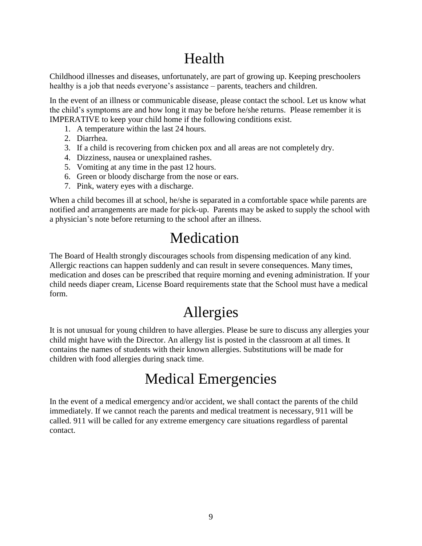## Health

Childhood illnesses and diseases, unfortunately, are part of growing up. Keeping preschoolers healthy is a job that needs everyone's assistance – parents, teachers and children.

In the event of an illness or communicable disease, please contact the school. Let us know what the child's symptoms are and how long it may be before he/she returns. Please remember it is IMPERATIVE to keep your child home if the following conditions exist.

- 1. A temperature within the last 24 hours.
- 2. Diarrhea.
- 3. If a child is recovering from chicken pox and all areas are not completely dry.
- 4. Dizziness, nausea or unexplained rashes.
- 5. Vomiting at any time in the past 12 hours.
- 6. Green or bloody discharge from the nose or ears.
- 7. Pink, watery eyes with a discharge.

When a child becomes ill at school, he/she is separated in a comfortable space while parents are notified and arrangements are made for pick-up. Parents may be asked to supply the school with a physician's note before returning to the school after an illness.

## Medication

The Board of Health strongly discourages schools from dispensing medication of any kind. Allergic reactions can happen suddenly and can result in severe consequences. Many times, medication and doses can be prescribed that require morning and evening administration. If your child needs diaper cream, License Board requirements state that the School must have a medical form.

## Allergies

It is not unusual for young children to have allergies. Please be sure to discuss any allergies your child might have with the Director. An allergy list is posted in the classroom at all times. It contains the names of students with their known allergies. Substitutions will be made for children with food allergies during snack time.

#### Medical Emergencies

In the event of a medical emergency and/or accident, we shall contact the parents of the child immediately. If we cannot reach the parents and medical treatment is necessary, 911 will be called. 911 will be called for any extreme emergency care situations regardless of parental contact.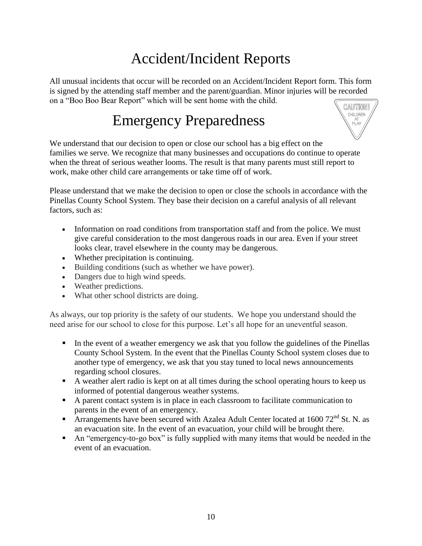## Accident/Incident Reports

All unusual incidents that occur will be recorded on an Accident/Incident Report form. This form is signed by the attending staff member and the parent/guardian. Minor injuries will be recorded on a "Boo Boo Bear Report" which will be sent home with the child.

#### Emergency Preparedness



We understand that our decision to open or close our school has a big effect on the families we serve. We recognize that many businesses and occupations do continue to operate when the threat of serious weather looms. The result is that many parents must still report to work, make other child care arrangements or take time off of work.

Please understand that we make the decision to open or close the schools in accordance with the Pinellas County School System. They base their decision on a careful analysis of all relevant factors, such as:

- Information on road conditions from transportation staff and from the police. We must give careful consideration to the most dangerous roads in our area. Even if your street looks clear, travel elsewhere in the county may be dangerous.
- Whether precipitation is continuing.
- Building conditions (such as whether we have power).
- Dangers due to high wind speeds.
- Weather predictions.
- What other school districts are doing.

As always, our top priority is the safety of our students. We hope you understand should the need arise for our school to close for this purpose. Let's all hope for an uneventful season.

- In the event of a weather emergency we ask that you follow the guidelines of the Pinellas County School System. In the event that the Pinellas County School system closes due to another type of emergency, we ask that you stay tuned to local news announcements regarding school closures.
- A weather alert radio is kept on at all times during the school operating hours to keep us informed of potential dangerous weather systems.
- A parent contact system is in place in each classroom to facilitate communication to parents in the event of an emergency.
- Arrangements have been secured with Azalea Adult Center located at  $1600$   $72<sup>nd</sup>$  St. N. as an evacuation site. In the event of an evacuation, your child will be brought there.
- An "emergency-to-go box" is fully supplied with many items that would be needed in the event of an evacuation.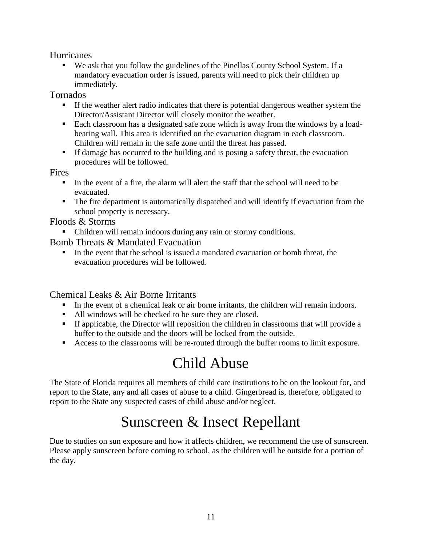#### **Hurricanes**

 We ask that you follow the guidelines of the Pinellas County School System. If a mandatory evacuation order is issued, parents will need to pick their children up immediately.

Tornados

- If the weather alert radio indicates that there is potential dangerous weather system the Director/Assistant Director will closely monitor the weather.
- Each classroom has a designated safe zone which is away from the windows by a loadbearing wall. This area is identified on the evacuation diagram in each classroom. Children will remain in the safe zone until the threat has passed.
- If damage has occurred to the building and is posing a safety threat, the evacuation procedures will be followed.

Fires

- $\blacksquare$  In the event of a fire, the alarm will alert the staff that the school will need to be evacuated.
- The fire department is automatically dispatched and will identify if evacuation from the school property is necessary.

Floods & Storms

Children will remain indoors during any rain or stormy conditions.

Bomb Threats & Mandated Evacuation

 In the event that the school is issued a mandated evacuation or bomb threat, the evacuation procedures will be followed.

#### Chemical Leaks & Air Borne Irritants

- In the event of a chemical leak or air borne irritants, the children will remain indoors.
- All windows will be checked to be sure they are closed.
- If applicable, the Director will reposition the children in classrooms that will provide a buffer to the outside and the doors will be locked from the outside.
- Access to the classrooms will be re-routed through the buffer rooms to limit exposure.

#### Child Abuse

The State of Florida requires all members of child care institutions to be on the lookout for, and report to the State, any and all cases of abuse to a child. Gingerbread is, therefore, obligated to report to the State any suspected cases of child abuse and/or neglect.

## Sunscreen & Insect Repellant

Due to studies on sun exposure and how it affects children, we recommend the use of sunscreen. Please apply sunscreen before coming to school, as the children will be outside for a portion of the day.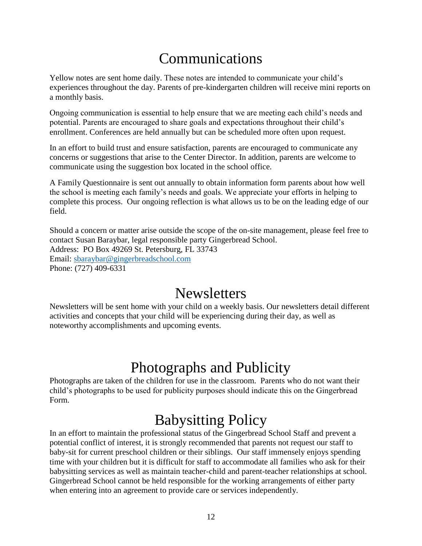#### Communications

Yellow notes are sent home daily. These notes are intended to communicate your child's experiences throughout the day. Parents of pre-kindergarten children will receive mini reports on a monthly basis.

Ongoing communication is essential to help ensure that we are meeting each child's needs and potential. Parents are encouraged to share goals and expectations throughout their child's enrollment. Conferences are held annually but can be scheduled more often upon request.

In an effort to build trust and ensure satisfaction, parents are encouraged to communicate any concerns or suggestions that arise to the Center Director. In addition, parents are welcome to communicate using the suggestion box located in the school office.

A Family Questionnaire is sent out annually to obtain information form parents about how well the school is meeting each family's needs and goals. We appreciate your efforts in helping to complete this process. Our ongoing reflection is what allows us to be on the leading edge of our field.

Should a concern or matter arise outside the scope of the on-site management, please feel free to contact Susan Baraybar, legal responsible party Gingerbread School. Address: PO Box 49269 St. Petersburg, FL 33743 Email: [sbaraybar@gingerbreadschool.com](mailto:sbaraybar@gingerbreadschool.com) Phone: (727) 409-6331

#### **Newsletters**

Newsletters will be sent home with your child on a weekly basis. Our newsletters detail different activities and concepts that your child will be experiencing during their day, as well as noteworthy accomplishments and upcoming events.

#### Photographs and Publicity

Photographs are taken of the children for use in the classroom. Parents who do not want their child's photographs to be used for publicity purposes should indicate this on the Gingerbread Form.

## Babysitting Policy

In an effort to maintain the professional status of the Gingerbread School Staff and prevent a potential conflict of interest, it is strongly recommended that parents not request our staff to baby-sit for current preschool children or their siblings. Our staff immensely enjoys spending time with your children but it is difficult for staff to accommodate all families who ask for their babysitting services as well as maintain teacher-child and parent-teacher relationships at school. Gingerbread School cannot be held responsible for the working arrangements of either party when entering into an agreement to provide care or services independently.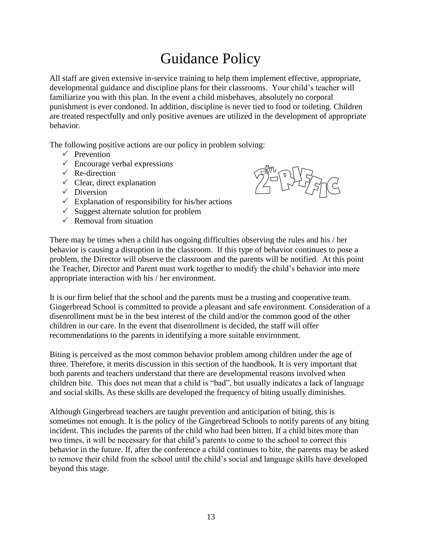#### Guidance Policy

All staff are given extensive in-service training to help them implement effective, appropriate, developmental guidance and discipline plans for their classrooms. Your child's teacher will familiarize you with this plan. In the event a child misbehaves, absolutely no corporal punishment is ever condoned. In addition, discipline is never tied to food or toileting. Children are treated respectfully and only positive avenues are utilized in the development of appropriate behavior.

The following positive actions are our policy in problem solving:

- $\checkmark$  Prevention
- $\checkmark$  Encourage verbal expressions
- $\checkmark$  Re-direction
- $\checkmark$  Clear, direct explanation
- $\checkmark$  Diversion
- $\checkmark$  Explanation of responsibility for his/her actions
- $\checkmark$  Suggest alternate solution for problem
- $\checkmark$  Removal from situation

There may be times when a child has ongoing difficulties observing the rules and his / her behavior is causing a disruption in the classroom. If this type of behavior continues to pose a problem, the Director will observe the classroom and the parents will be notified. At this point the Teacher, Director and Parent must work together to modify the child's behavior into more appropriate interaction with his / her environment.

It is our firm belief that the school and the parents must be a trusting and cooperative team. Gingerbread School is committed to provide a pleasant and safe environment. Consideration of a disenrollment must be in the best interest of the child and/or the common good of the other children in our care. In the event that disenrollment is decided, the staff will offer recommendations to the parents in identifying a more suitable environment.

Biting is perceived as the most common behavior problem among children under the age of three. Therefore, it merits discussion in this section of the handbook. It is very important that both parents and teachers understand that there are developmental reasons involved when children bite. This does not mean that a child is "bad", but usually indicates a lack of language and social skills. As these skills are developed the frequency of biting usually diminishes.

Although Gingerbread teachers are taught prevention and anticipation of biting, this is sometimes not enough. It is the policy of the Gingerbread Schools to notify parents of any biting incident. This includes the parents of the child who had been bitten. If a child bites more than two times, it will be necessary for that child's parents to come to the school to correct this behavior in the future. If, after the conference a child continues to bite, the parents may be asked to remove their child from the school until the child's social and language skills have developed beyond this stage.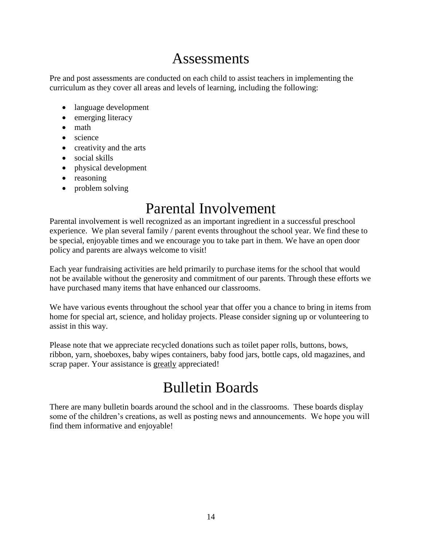#### Assessments

Pre and post assessments are conducted on each child to assist teachers in implementing the curriculum as they cover all areas and levels of learning, including the following:

- language development
- emerging literacy
- math
- science
- creativity and the arts
- social skills
- physical development
- reasoning
- problem solving

#### Parental Involvement

Parental involvement is well recognized as an important ingredient in a successful preschool experience. We plan several family / parent events throughout the school year. We find these to be special, enjoyable times and we encourage you to take part in them. We have an open door policy and parents are always welcome to visit!

Each year fundraising activities are held primarily to purchase items for the school that would not be available without the generosity and commitment of our parents. Through these efforts we have purchased many items that have enhanced our classrooms.

We have various events throughout the school year that offer you a chance to bring in items from home for special art, science, and holiday projects. Please consider signing up or volunteering to assist in this way.

Please note that we appreciate recycled donations such as toilet paper rolls, buttons, bows, ribbon, yarn, shoeboxes, baby wipes containers, baby food jars, bottle caps, old magazines, and scrap paper. Your assistance is greatly appreciated!

#### Bulletin Boards

There are many bulletin boards around the school and in the classrooms. These boards display some of the children's creations, as well as posting news and announcements. We hope you will find them informative and enjoyable!